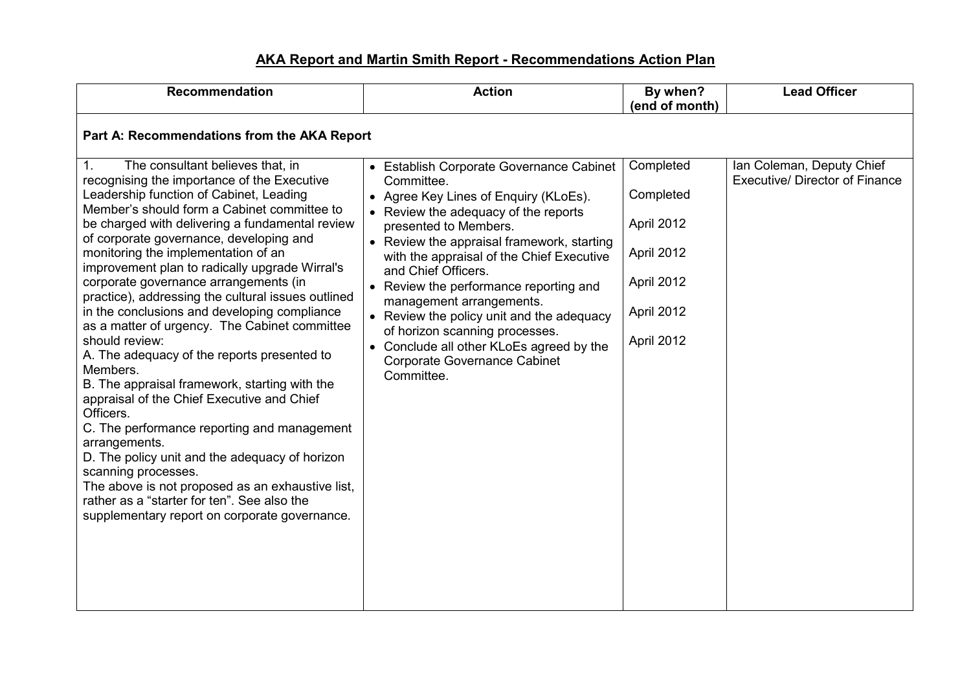## **AKA Report and Martin Smith Report - Recommendations Action Plan**

| <b>Recommendation</b>                                                                                                                                                                                                                                                                                                                                                                                                                                                                                                                                                                                                                                                                                                                                                                                                                                                                                                                                                                                                                                        | <b>Action</b>                                                                                                                                                                                                                                                                                                                                                                                                                                                                                                                            | By when?<br>(end of month)                                                                   | <b>Lead Officer</b>                                                |
|--------------------------------------------------------------------------------------------------------------------------------------------------------------------------------------------------------------------------------------------------------------------------------------------------------------------------------------------------------------------------------------------------------------------------------------------------------------------------------------------------------------------------------------------------------------------------------------------------------------------------------------------------------------------------------------------------------------------------------------------------------------------------------------------------------------------------------------------------------------------------------------------------------------------------------------------------------------------------------------------------------------------------------------------------------------|------------------------------------------------------------------------------------------------------------------------------------------------------------------------------------------------------------------------------------------------------------------------------------------------------------------------------------------------------------------------------------------------------------------------------------------------------------------------------------------------------------------------------------------|----------------------------------------------------------------------------------------------|--------------------------------------------------------------------|
| Part A: Recommendations from the AKA Report                                                                                                                                                                                                                                                                                                                                                                                                                                                                                                                                                                                                                                                                                                                                                                                                                                                                                                                                                                                                                  |                                                                                                                                                                                                                                                                                                                                                                                                                                                                                                                                          |                                                                                              |                                                                    |
| The consultant believes that, in<br>1.<br>recognising the importance of the Executive<br>Leadership function of Cabinet, Leading<br>Member's should form a Cabinet committee to<br>be charged with delivering a fundamental review<br>of corporate governance, developing and<br>monitoring the implementation of an<br>improvement plan to radically upgrade Wirral's<br>corporate governance arrangements (in<br>practice), addressing the cultural issues outlined<br>in the conclusions and developing compliance<br>as a matter of urgency. The Cabinet committee<br>should review:<br>A. The adequacy of the reports presented to<br>Members.<br>B. The appraisal framework, starting with the<br>appraisal of the Chief Executive and Chief<br>Officers.<br>C. The performance reporting and management<br>arrangements.<br>D. The policy unit and the adequacy of horizon<br>scanning processes.<br>The above is not proposed as an exhaustive list,<br>rather as a "starter for ten". See also the<br>supplementary report on corporate governance. | • Establish Corporate Governance Cabinet<br>Committee.<br>• Agree Key Lines of Enquiry (KLoEs).<br>• Review the adequacy of the reports<br>presented to Members.<br>• Review the appraisal framework, starting<br>with the appraisal of the Chief Executive<br>and Chief Officers.<br>• Review the performance reporting and<br>management arrangements.<br>• Review the policy unit and the adequacy<br>of horizon scanning processes.<br>• Conclude all other KLoEs agreed by the<br><b>Corporate Governance Cabinet</b><br>Committee. | Completed<br>Completed<br>April 2012<br>April 2012<br>April 2012<br>April 2012<br>April 2012 | Ian Coleman, Deputy Chief<br><b>Executive/ Director of Finance</b> |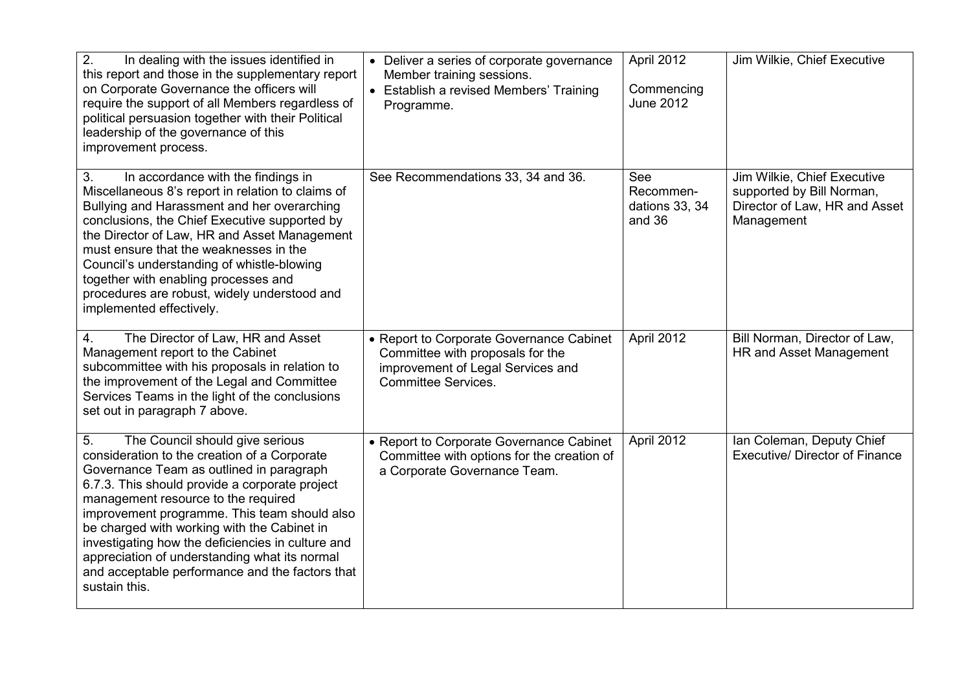| 2.<br>In dealing with the issues identified in<br>this report and those in the supplementary report<br>on Corporate Governance the officers will<br>require the support of all Members regardless of<br>political persuasion together with their Political<br>leadership of the governance of this<br>improvement process.                                                                                                                                                                          | • Deliver a series of corporate governance<br>Member training sessions.<br>• Establish a revised Members' Training<br>Programme.                | April 2012<br>Commencing<br><b>June 2012</b> | Jim Wilkie, Chief Executive                                                                             |
|-----------------------------------------------------------------------------------------------------------------------------------------------------------------------------------------------------------------------------------------------------------------------------------------------------------------------------------------------------------------------------------------------------------------------------------------------------------------------------------------------------|-------------------------------------------------------------------------------------------------------------------------------------------------|----------------------------------------------|---------------------------------------------------------------------------------------------------------|
| In accordance with the findings in<br>3.<br>Miscellaneous 8's report in relation to claims of<br>Bullying and Harassment and her overarching<br>conclusions, the Chief Executive supported by<br>the Director of Law, HR and Asset Management<br>must ensure that the weaknesses in the<br>Council's understanding of whistle-blowing<br>together with enabling processes and<br>procedures are robust, widely understood and<br>implemented effectively.                                           | See Recommendations 33, 34 and 36.                                                                                                              | See<br>Recommen-<br>dations 33, 34<br>and 36 | Jim Wilkie, Chief Executive<br>supported by Bill Norman,<br>Director of Law, HR and Asset<br>Management |
| The Director of Law, HR and Asset<br>4.<br>Management report to the Cabinet<br>subcommittee with his proposals in relation to<br>the improvement of the Legal and Committee<br>Services Teams in the light of the conclusions<br>set out in paragraph 7 above.                                                                                                                                                                                                                                      | • Report to Corporate Governance Cabinet<br>Committee with proposals for the<br>improvement of Legal Services and<br><b>Committee Services.</b> | April 2012                                   | Bill Norman, Director of Law,<br>HR and Asset Management                                                |
| 5.<br>The Council should give serious<br>consideration to the creation of a Corporate<br>Governance Team as outlined in paragraph<br>6.7.3. This should provide a corporate project<br>management resource to the required<br>improvement programme. This team should also<br>be charged with working with the Cabinet in<br>investigating how the deficiencies in culture and<br>appreciation of understanding what its normal<br>and acceptable performance and the factors that<br>sustain this. | • Report to Corporate Governance Cabinet<br>Committee with options for the creation of<br>a Corporate Governance Team.                          | April 2012                                   | Ian Coleman, Deputy Chief<br><b>Executive/ Director of Finance</b>                                      |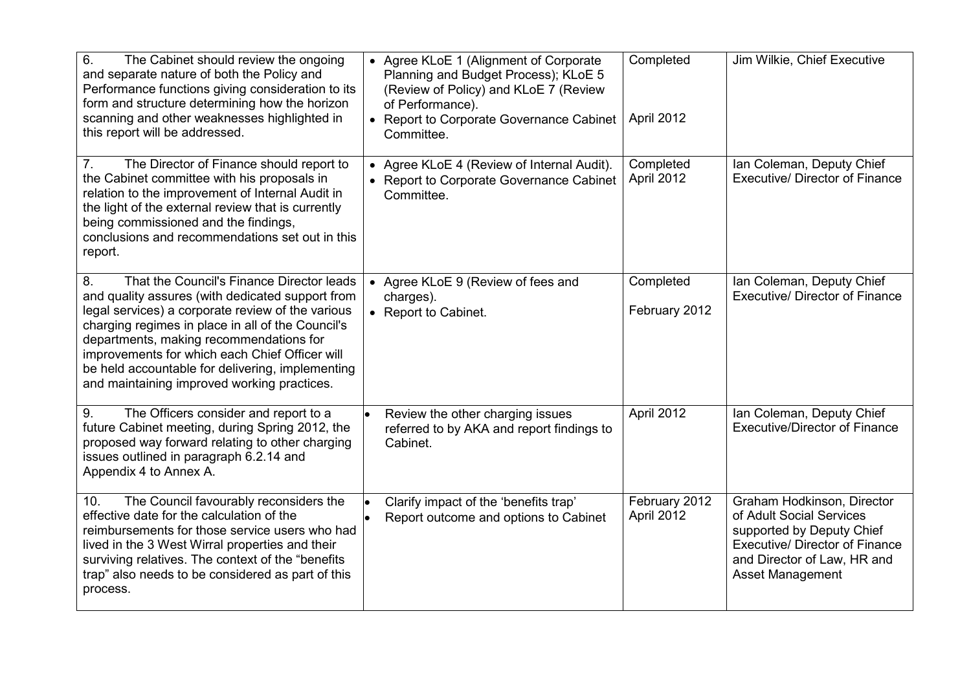| 6.<br>The Cabinet should review the ongoing<br>and separate nature of both the Policy and<br>Performance functions giving consideration to its<br>form and structure determining how the horizon<br>scanning and other weaknesses highlighted in<br>this report will be addressed.                                                                                                                            | • Agree KLoE 1 (Alignment of Corporate<br>Planning and Budget Process); KLoE 5<br>(Review of Policy) and KLoE 7 (Review<br>of Performance).<br>• Report to Corporate Governance Cabinet<br>Committee. | Completed<br>April 2012     | Jim Wilkie, Chief Executive                                                                                                                                                     |
|---------------------------------------------------------------------------------------------------------------------------------------------------------------------------------------------------------------------------------------------------------------------------------------------------------------------------------------------------------------------------------------------------------------|-------------------------------------------------------------------------------------------------------------------------------------------------------------------------------------------------------|-----------------------------|---------------------------------------------------------------------------------------------------------------------------------------------------------------------------------|
| 7 <sub>1</sub><br>The Director of Finance should report to<br>the Cabinet committee with his proposals in<br>relation to the improvement of Internal Audit in<br>the light of the external review that is currently<br>being commissioned and the findings,<br>conclusions and recommendations set out in this<br>report.                                                                                     | • Agree KLoE 4 (Review of Internal Audit).<br>• Report to Corporate Governance Cabinet<br>Committee.                                                                                                  | Completed<br>April 2012     | Ian Coleman, Deputy Chief<br><b>Executive/ Director of Finance</b>                                                                                                              |
| That the Council's Finance Director leads<br>8.<br>and quality assures (with dedicated support from<br>legal services) a corporate review of the various<br>charging regimes in place in all of the Council's<br>departments, making recommendations for<br>improvements for which each Chief Officer will<br>be held accountable for delivering, implementing<br>and maintaining improved working practices. | • Agree KLoE 9 (Review of fees and<br>charges).<br>• Report to Cabinet.                                                                                                                               | Completed<br>February 2012  | Ian Coleman, Deputy Chief<br><b>Executive/ Director of Finance</b>                                                                                                              |
| The Officers consider and report to a<br>9.<br>future Cabinet meeting, during Spring 2012, the<br>proposed way forward relating to other charging<br>issues outlined in paragraph 6.2.14 and<br>Appendix 4 to Annex A.                                                                                                                                                                                        | Review the other charging issues<br>$\bullet$<br>referred to by AKA and report findings to<br>Cabinet.                                                                                                | April 2012                  | Ian Coleman, Deputy Chief<br><b>Executive/Director of Finance</b>                                                                                                               |
| The Council favourably reconsiders the<br>10.<br>effective date for the calculation of the<br>reimbursements for those service users who had<br>lived in the 3 West Wirral properties and their<br>surviving relatives. The context of the "benefits<br>trap" also needs to be considered as part of this<br>process.                                                                                         | Clarify impact of the 'benefits trap'<br>Report outcome and options to Cabinet                                                                                                                        | February 2012<br>April 2012 | Graham Hodkinson, Director<br>of Adult Social Services<br>supported by Deputy Chief<br><b>Executive/ Director of Finance</b><br>and Director of Law, HR and<br>Asset Management |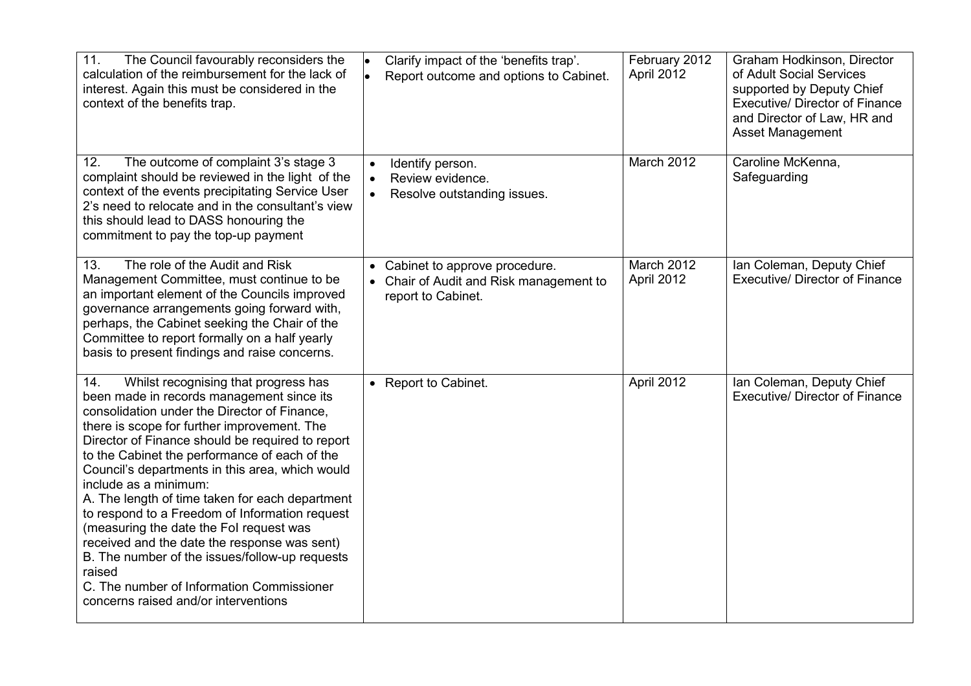| 11.<br>The Council favourably reconsiders the<br>calculation of the reimbursement for the lack of<br>interest. Again this must be considered in the<br>context of the benefits trap.                                                                                                                                                                                                                                                                                                                                                                                                                                                                                                                                      | Clarify impact of the 'benefits trap'.<br>$\bullet$<br>$\bullet$<br>Report outcome and options to Cabinet.  | February 2012<br>April 2012 | Graham Hodkinson, Director<br>of Adult Social Services<br>supported by Deputy Chief<br><b>Executive/ Director of Finance</b><br>and Director of Law, HR and<br><b>Asset Management</b> |
|---------------------------------------------------------------------------------------------------------------------------------------------------------------------------------------------------------------------------------------------------------------------------------------------------------------------------------------------------------------------------------------------------------------------------------------------------------------------------------------------------------------------------------------------------------------------------------------------------------------------------------------------------------------------------------------------------------------------------|-------------------------------------------------------------------------------------------------------------|-----------------------------|----------------------------------------------------------------------------------------------------------------------------------------------------------------------------------------|
| 12.<br>The outcome of complaint 3's stage 3<br>complaint should be reviewed in the light of the<br>context of the events precipitating Service User<br>2's need to relocate and in the consultant's view<br>this should lead to DASS honouring the<br>commitment to pay the top-up payment                                                                                                                                                                                                                                                                                                                                                                                                                                | Identify person.<br>$\bullet$<br>Review evidence.<br>$\bullet$<br>Resolve outstanding issues.<br>$\bullet$  | March 2012                  | Caroline McKenna,<br>Safeguarding                                                                                                                                                      |
| The role of the Audit and Risk<br>13.<br>Management Committee, must continue to be<br>an important element of the Councils improved<br>governance arrangements going forward with,<br>perhaps, the Cabinet seeking the Chair of the<br>Committee to report formally on a half yearly<br>basis to present findings and raise concerns.                                                                                                                                                                                                                                                                                                                                                                                     | Cabinet to approve procedure.<br>$\bullet$<br>• Chair of Audit and Risk management to<br>report to Cabinet. | March 2012<br>April 2012    | Ian Coleman, Deputy Chief<br><b>Executive/ Director of Finance</b>                                                                                                                     |
| Whilst recognising that progress has<br>14.<br>been made in records management since its<br>consolidation under the Director of Finance,<br>there is scope for further improvement. The<br>Director of Finance should be required to report<br>to the Cabinet the performance of each of the<br>Council's departments in this area, which would<br>include as a minimum:<br>A. The length of time taken for each department<br>to respond to a Freedom of Information request<br>(measuring the date the Fol request was<br>received and the date the response was sent)<br>B. The number of the issues/follow-up requests<br>raised<br>C. The number of Information Commissioner<br>concerns raised and/or interventions | • Report to Cabinet.                                                                                        | April 2012                  | Ian Coleman, Deputy Chief<br><b>Executive/ Director of Finance</b>                                                                                                                     |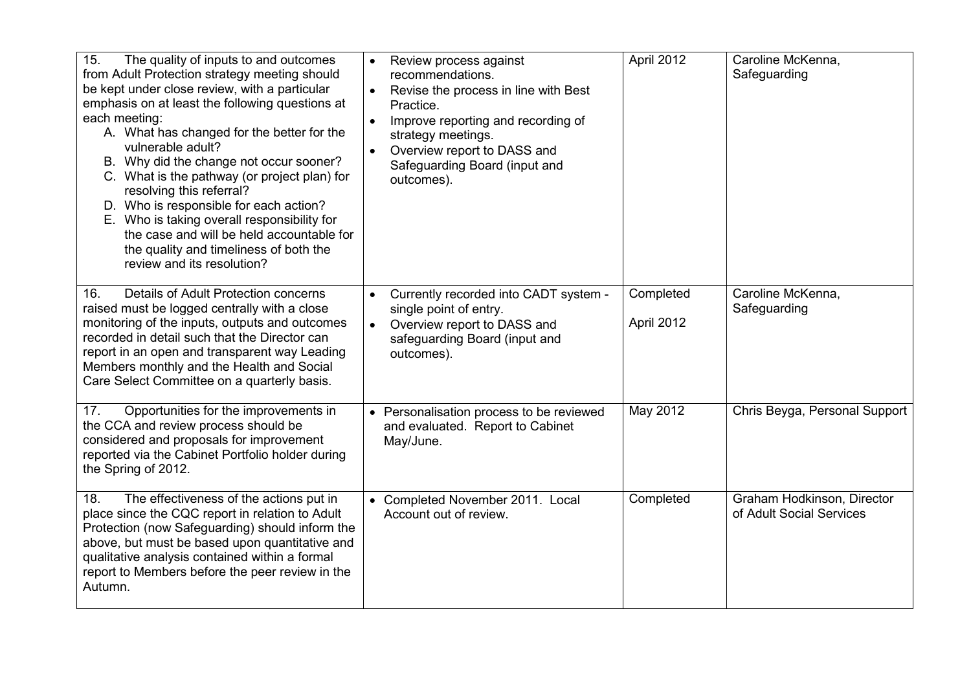| 15.<br>The quality of inputs to and outcomes<br>from Adult Protection strategy meeting should<br>be kept under close review, with a particular<br>emphasis on at least the following questions at<br>each meeting:<br>A. What has changed for the better for the<br>vulnerable adult?<br>B. Why did the change not occur sooner?<br>C. What is the pathway (or project plan) for<br>resolving this referral?<br>D. Who is responsible for each action?<br>E. Who is taking overall responsibility for<br>the case and will be held accountable for<br>the quality and timeliness of both the<br>review and its resolution? | Review process against<br>$\bullet$<br>recommendations.<br>Revise the process in line with Best<br>$\bullet$<br>Practice.<br>Improve reporting and recording of<br>$\bullet$<br>strategy meetings.<br>Overview report to DASS and<br>$\bullet$<br>Safeguarding Board (input and<br>outcomes). | April 2012              | Caroline McKenna,<br>Safeguarding                      |
|----------------------------------------------------------------------------------------------------------------------------------------------------------------------------------------------------------------------------------------------------------------------------------------------------------------------------------------------------------------------------------------------------------------------------------------------------------------------------------------------------------------------------------------------------------------------------------------------------------------------------|-----------------------------------------------------------------------------------------------------------------------------------------------------------------------------------------------------------------------------------------------------------------------------------------------|-------------------------|--------------------------------------------------------|
| Details of Adult Protection concerns<br>16.<br>raised must be logged centrally with a close<br>monitoring of the inputs, outputs and outcomes<br>recorded in detail such that the Director can<br>report in an open and transparent way Leading<br>Members monthly and the Health and Social<br>Care Select Committee on a quarterly basis.                                                                                                                                                                                                                                                                                | Currently recorded into CADT system -<br>single point of entry.<br>Overview report to DASS and<br>$\bullet$<br>safeguarding Board (input and<br>outcomes).                                                                                                                                    | Completed<br>April 2012 | Caroline McKenna,<br>Safeguarding                      |
| Opportunities for the improvements in<br>17.<br>the CCA and review process should be<br>considered and proposals for improvement<br>reported via the Cabinet Portfolio holder during<br>the Spring of 2012.                                                                                                                                                                                                                                                                                                                                                                                                                | • Personalisation process to be reviewed<br>and evaluated. Report to Cabinet<br>May/June.                                                                                                                                                                                                     | May 2012                | Chris Beyga, Personal Support                          |
| The effectiveness of the actions put in<br>18.<br>place since the CQC report in relation to Adult<br>Protection (now Safeguarding) should inform the<br>above, but must be based upon quantitative and<br>qualitative analysis contained within a formal<br>report to Members before the peer review in the<br>Autumn.                                                                                                                                                                                                                                                                                                     | • Completed November 2011. Local<br>Account out of review.                                                                                                                                                                                                                                    | Completed               | Graham Hodkinson, Director<br>of Adult Social Services |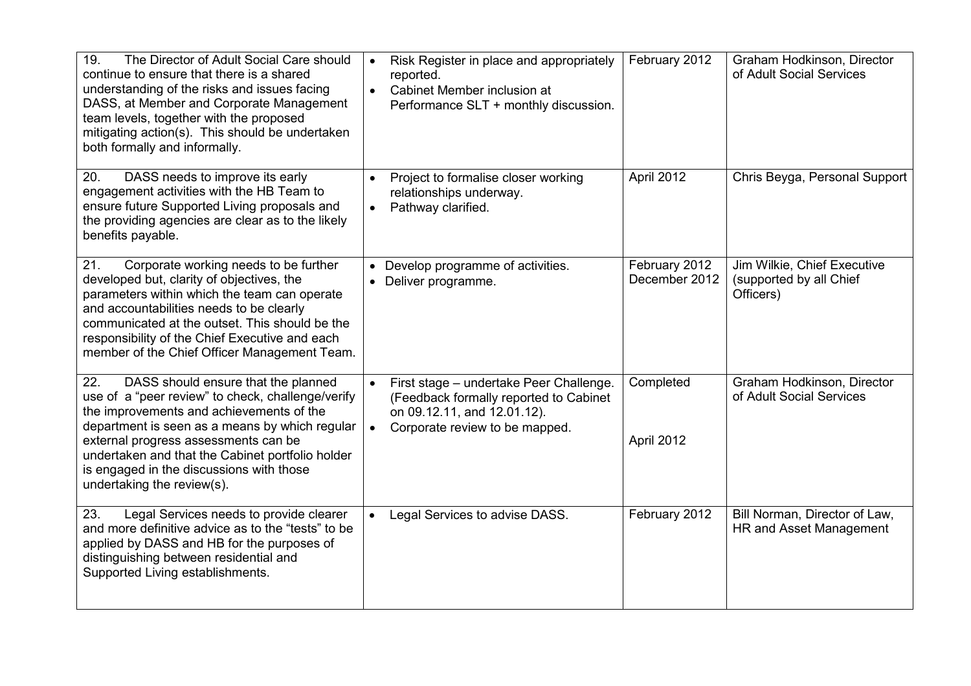| 19.<br>The Director of Adult Social Care should<br>continue to ensure that there is a shared<br>understanding of the risks and issues facing<br>DASS, at Member and Corporate Management<br>team levels, together with the proposed<br>mitigating action(s). This should be undertaken<br>both formally and informally.                                             | Risk Register in place and appropriately<br>$\bullet$<br>reported.<br>Cabinet Member inclusion at<br>$\bullet$<br>Performance SLT + monthly discussion.         | February 2012                  | Graham Hodkinson, Director<br>of Adult Social Services              |
|---------------------------------------------------------------------------------------------------------------------------------------------------------------------------------------------------------------------------------------------------------------------------------------------------------------------------------------------------------------------|-----------------------------------------------------------------------------------------------------------------------------------------------------------------|--------------------------------|---------------------------------------------------------------------|
| 20.<br>DASS needs to improve its early<br>engagement activities with the HB Team to<br>ensure future Supported Living proposals and<br>the providing agencies are clear as to the likely<br>benefits payable.                                                                                                                                                       | Project to formalise closer working<br>$\bullet$<br>relationships underway.<br>Pathway clarified.<br>$\bullet$                                                  | April 2012                     | Chris Beyga, Personal Support                                       |
| 21.<br>Corporate working needs to be further<br>developed but, clarity of objectives, the<br>parameters within which the team can operate<br>and accountabilities needs to be clearly<br>communicated at the outset. This should be the<br>responsibility of the Chief Executive and each<br>member of the Chief Officer Management Team.                           | Develop programme of activities.<br>Deliver programme.                                                                                                          | February 2012<br>December 2012 | Jim Wilkie, Chief Executive<br>(supported by all Chief<br>Officers) |
| DASS should ensure that the planned<br>22.<br>use of a "peer review" to check, challenge/verify<br>the improvements and achievements of the<br>department is seen as a means by which regular<br>external progress assessments can be<br>undertaken and that the Cabinet portfolio holder<br>is engaged in the discussions with those<br>undertaking the review(s). | First stage - undertake Peer Challenge.<br>(Feedback formally reported to Cabinet<br>on 09.12.11, and 12.01.12).<br>Corporate review to be mapped.<br>$\bullet$ | Completed<br>April 2012        | Graham Hodkinson, Director<br>of Adult Social Services              |
| Legal Services needs to provide clearer<br>23.<br>and more definitive advice as to the "tests" to be<br>applied by DASS and HB for the purposes of<br>distinguishing between residential and<br>Supported Living establishments.                                                                                                                                    | Legal Services to advise DASS.<br>$\bullet$                                                                                                                     | February 2012                  | Bill Norman, Director of Law,<br>HR and Asset Management            |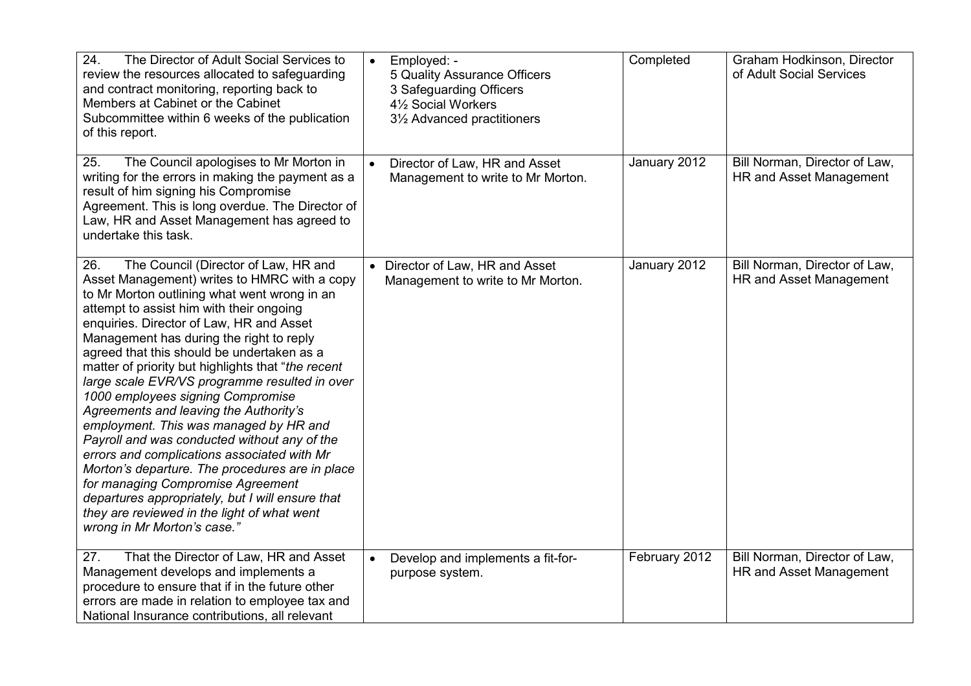| 24.<br>The Director of Adult Social Services to<br>review the resources allocated to safeguarding<br>and contract monitoring, reporting back to<br>Members at Cabinet or the Cabinet<br>Subcommittee within 6 weeks of the publication<br>of this report.                                                                                                                                                                                                                                                                                                                                                                                                                                                                                                                                                                                                                              | Employed: -<br>$\bullet$<br>5 Quality Assurance Officers<br>3 Safeguarding Officers<br>41/2 Social Workers<br>3½ Advanced practitioners | Completed     | Graham Hodkinson, Director<br>of Adult Social Services   |
|----------------------------------------------------------------------------------------------------------------------------------------------------------------------------------------------------------------------------------------------------------------------------------------------------------------------------------------------------------------------------------------------------------------------------------------------------------------------------------------------------------------------------------------------------------------------------------------------------------------------------------------------------------------------------------------------------------------------------------------------------------------------------------------------------------------------------------------------------------------------------------------|-----------------------------------------------------------------------------------------------------------------------------------------|---------------|----------------------------------------------------------|
| The Council apologises to Mr Morton in<br>25.<br>writing for the errors in making the payment as a<br>result of him signing his Compromise<br>Agreement. This is long overdue. The Director of<br>Law, HR and Asset Management has agreed to<br>undertake this task.                                                                                                                                                                                                                                                                                                                                                                                                                                                                                                                                                                                                                   | Director of Law, HR and Asset<br>$\bullet$<br>Management to write to Mr Morton.                                                         | January 2012  | Bill Norman, Director of Law,<br>HR and Asset Management |
| The Council (Director of Law, HR and<br>26.<br>Asset Management) writes to HMRC with a copy<br>to Mr Morton outlining what went wrong in an<br>attempt to assist him with their ongoing<br>enquiries. Director of Law, HR and Asset<br>Management has during the right to reply<br>agreed that this should be undertaken as a<br>matter of priority but highlights that "the recent<br>large scale EVR/VS programme resulted in over<br>1000 employees signing Compromise<br>Agreements and leaving the Authority's<br>employment. This was managed by HR and<br>Payroll and was conducted without any of the<br>errors and complications associated with Mr<br>Morton's departure. The procedures are in place<br>for managing Compromise Agreement<br>departures appropriately, but I will ensure that<br>they are reviewed in the light of what went<br>wrong in Mr Morton's case." | Director of Law, HR and Asset<br>Management to write to Mr Morton.                                                                      | January 2012  | Bill Norman, Director of Law,<br>HR and Asset Management |
| That the Director of Law, HR and Asset<br>27.<br>Management develops and implements a<br>procedure to ensure that if in the future other<br>errors are made in relation to employee tax and<br>National Insurance contributions, all relevant                                                                                                                                                                                                                                                                                                                                                                                                                                                                                                                                                                                                                                          | Develop and implements a fit-for-<br>$\bullet$<br>purpose system.                                                                       | February 2012 | Bill Norman, Director of Law,<br>HR and Asset Management |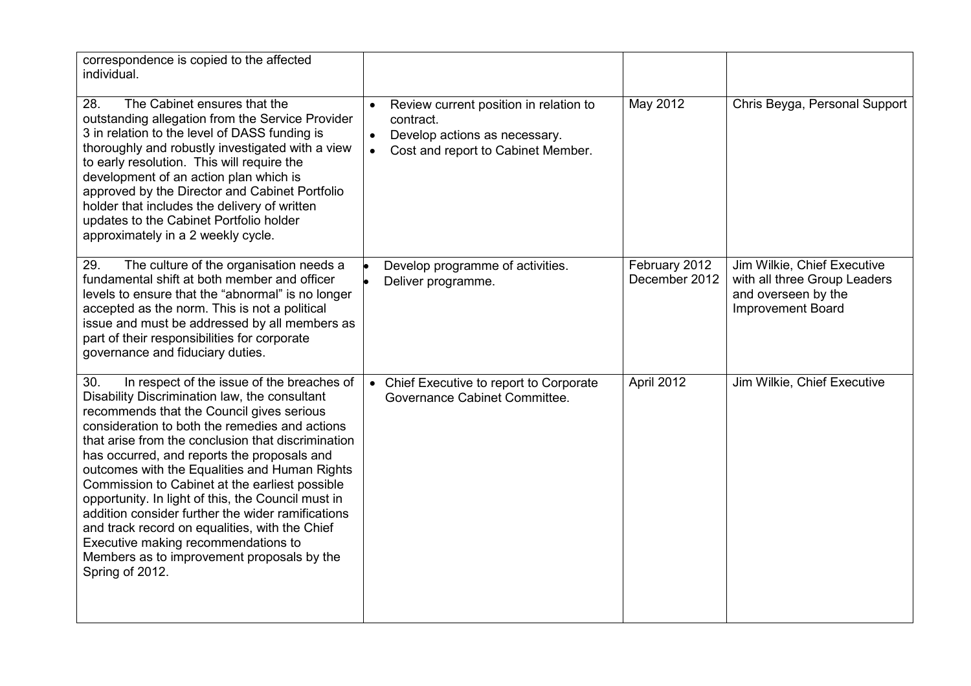| correspondence is copied to the affected<br>individual.                                                                                                                                                                                                                                                                                                                                                                                                                                                                                                                                                                                                                        |                                                                                                                                                      |                                |                                                                                                                |
|--------------------------------------------------------------------------------------------------------------------------------------------------------------------------------------------------------------------------------------------------------------------------------------------------------------------------------------------------------------------------------------------------------------------------------------------------------------------------------------------------------------------------------------------------------------------------------------------------------------------------------------------------------------------------------|------------------------------------------------------------------------------------------------------------------------------------------------------|--------------------------------|----------------------------------------------------------------------------------------------------------------|
| 28.<br>The Cabinet ensures that the<br>outstanding allegation from the Service Provider<br>3 in relation to the level of DASS funding is<br>thoroughly and robustly investigated with a view<br>to early resolution. This will require the<br>development of an action plan which is<br>approved by the Director and Cabinet Portfolio<br>holder that includes the delivery of written<br>updates to the Cabinet Portfolio holder<br>approximately in a 2 weekly cycle.                                                                                                                                                                                                        | Review current position in relation to<br>contract.<br>Develop actions as necessary.<br>$\bullet$<br>Cost and report to Cabinet Member.<br>$\bullet$ | May 2012                       | Chris Beyga, Personal Support                                                                                  |
| The culture of the organisation needs a<br>29.<br>fundamental shift at both member and officer<br>levels to ensure that the "abnormal" is no longer<br>accepted as the norm. This is not a political<br>issue and must be addressed by all members as<br>part of their responsibilities for corporate<br>governance and fiduciary duties.                                                                                                                                                                                                                                                                                                                                      | Develop programme of activities.<br>Deliver programme.                                                                                               | February 2012<br>December 2012 | Jim Wilkie, Chief Executive<br>with all three Group Leaders<br>and overseen by the<br><b>Improvement Board</b> |
| In respect of the issue of the breaches of<br>30.<br>Disability Discrimination law, the consultant<br>recommends that the Council gives serious<br>consideration to both the remedies and actions<br>that arise from the conclusion that discrimination<br>has occurred, and reports the proposals and<br>outcomes with the Equalities and Human Rights<br>Commission to Cabinet at the earliest possible<br>opportunity. In light of this, the Council must in<br>addition consider further the wider ramifications<br>and track record on equalities, with the Chief<br>Executive making recommendations to<br>Members as to improvement proposals by the<br>Spring of 2012. | • Chief Executive to report to Corporate<br>Governance Cabinet Committee.                                                                            | April 2012                     | Jim Wilkie, Chief Executive                                                                                    |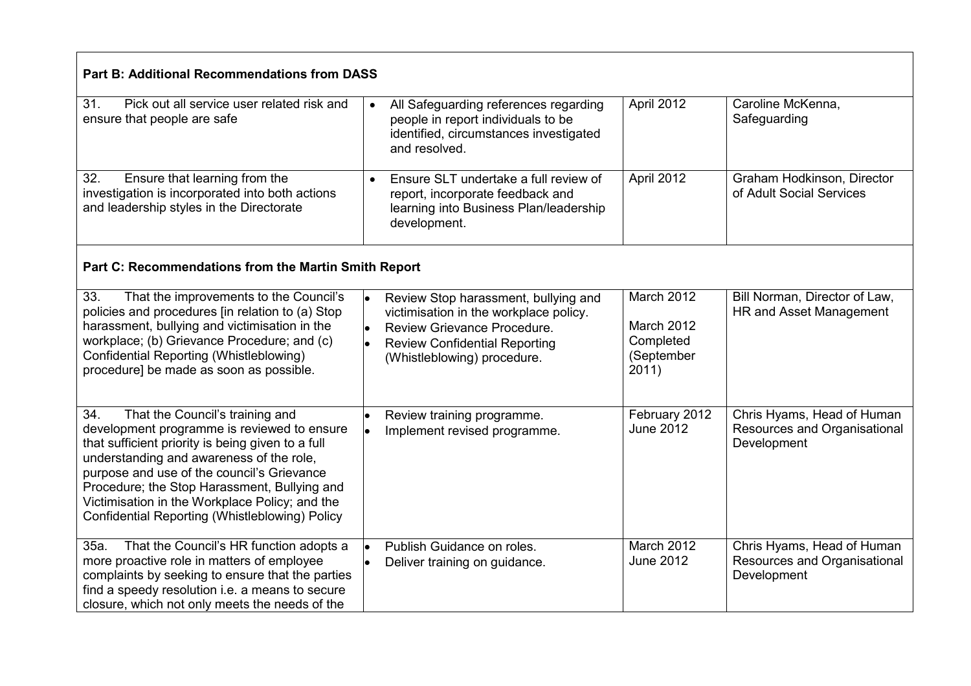| <b>Part B: Additional Recommendations from DASS</b>                                                                                                                                                                                                                                                                                                                                      |                                                                                                                                                                                                                             |                                                              |                                                                           |  |  |
|------------------------------------------------------------------------------------------------------------------------------------------------------------------------------------------------------------------------------------------------------------------------------------------------------------------------------------------------------------------------------------------|-----------------------------------------------------------------------------------------------------------------------------------------------------------------------------------------------------------------------------|--------------------------------------------------------------|---------------------------------------------------------------------------|--|--|
| 31.<br>Pick out all service user related risk and<br>ensure that people are safe                                                                                                                                                                                                                                                                                                         | All Safeguarding references regarding<br>$\bullet$<br>people in report individuals to be<br>identified, circumstances investigated<br>and resolved.                                                                         | April 2012                                                   | Caroline McKenna,<br>Safeguarding                                         |  |  |
| Ensure that learning from the<br>32.<br>investigation is incorporated into both actions<br>and leadership styles in the Directorate                                                                                                                                                                                                                                                      | Ensure SLT undertake a full review of<br>$\bullet$<br>report, incorporate feedback and<br>learning into Business Plan/leadership<br>development.                                                                            | April 2012                                                   | Graham Hodkinson, Director<br>of Adult Social Services                    |  |  |
|                                                                                                                                                                                                                                                                                                                                                                                          | Part C: Recommendations from the Martin Smith Report                                                                                                                                                                        |                                                              |                                                                           |  |  |
| That the improvements to the Council's<br>33.<br>policies and procedures [in relation to (a) Stop<br>harassment, bullying and victimisation in the<br>workplace; (b) Grievance Procedure; and (c)<br>Confidential Reporting (Whistleblowing)<br>procedure] be made as soon as possible.                                                                                                  | Review Stop harassment, bullying and<br>$\bullet$<br>victimisation in the workplace policy.<br>Review Grievance Procedure.<br>$\bullet$<br>$\bullet$<br><b>Review Confidential Reporting</b><br>(Whistleblowing) procedure. | March 2012<br>March 2012<br>Completed<br>(September<br>2011) | Bill Norman, Director of Law,<br>HR and Asset Management                  |  |  |
| That the Council's training and<br>34.<br>development programme is reviewed to ensure<br>that sufficient priority is being given to a full<br>understanding and awareness of the role,<br>purpose and use of the council's Grievance<br>Procedure; the Stop Harassment, Bullying and<br>Victimisation in the Workplace Policy; and the<br>Confidential Reporting (Whistleblowing) Policy | Review training programme.<br>Implement revised programme.                                                                                                                                                                  | February 2012<br><b>June 2012</b>                            | Chris Hyams, Head of Human<br>Resources and Organisational<br>Development |  |  |
| That the Council's HR function adopts a<br>35a.<br>more proactive role in matters of employee<br>complaints by seeking to ensure that the parties<br>find a speedy resolution i.e. a means to secure<br>closure, which not only meets the needs of the                                                                                                                                   | Publish Guidance on roles.<br>$\bullet$<br>Deliver training on guidance.                                                                                                                                                    | March 2012<br><b>June 2012</b>                               | Chris Hyams, Head of Human<br>Resources and Organisational<br>Development |  |  |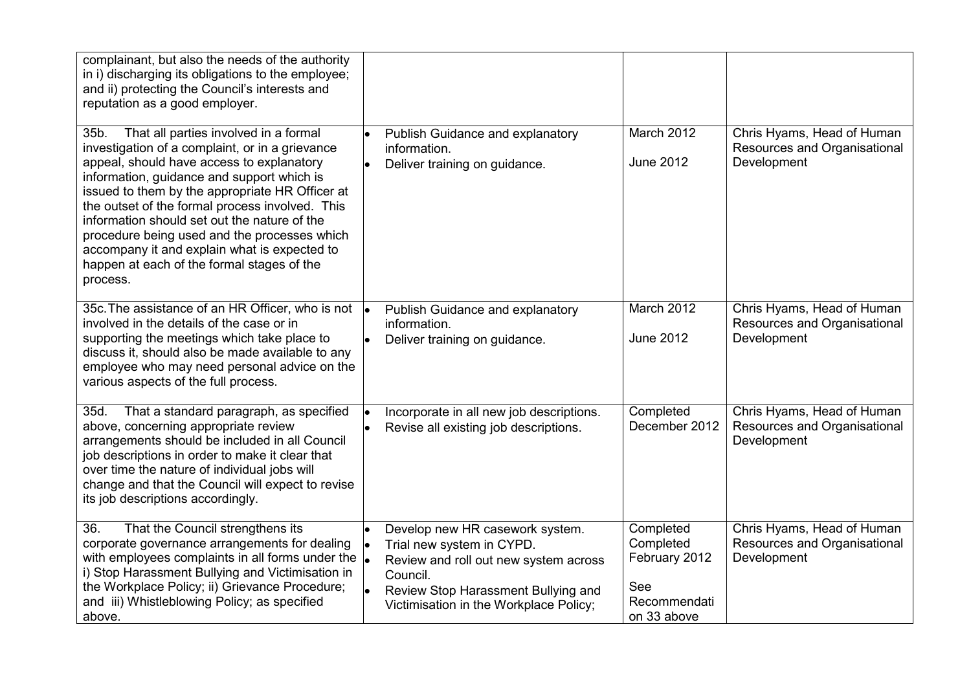| complainant, but also the needs of the authority<br>in i) discharging its obligations to the employee;<br>and ii) protecting the Council's interests and<br>reputation as a good employer.                                                                                                                                                                                                                                                                                                                  |                                                                                                                                                                                                    |                                                                               |                                                                           |
|-------------------------------------------------------------------------------------------------------------------------------------------------------------------------------------------------------------------------------------------------------------------------------------------------------------------------------------------------------------------------------------------------------------------------------------------------------------------------------------------------------------|----------------------------------------------------------------------------------------------------------------------------------------------------------------------------------------------------|-------------------------------------------------------------------------------|---------------------------------------------------------------------------|
| 35b.<br>That all parties involved in a formal<br>investigation of a complaint, or in a grievance<br>appeal, should have access to explanatory<br>information, guidance and support which is<br>issued to them by the appropriate HR Officer at<br>the outset of the formal process involved. This<br>information should set out the nature of the<br>procedure being used and the processes which<br>accompany it and explain what is expected to<br>happen at each of the formal stages of the<br>process. | Publish Guidance and explanatory<br>information.<br>Deliver training on guidance.<br>$\bullet$                                                                                                     | March 2012<br><b>June 2012</b>                                                | Chris Hyams, Head of Human<br>Resources and Organisational<br>Development |
| 35c. The assistance of an HR Officer, who is not<br>involved in the details of the case or in<br>supporting the meetings which take place to<br>discuss it, should also be made available to any<br>employee who may need personal advice on the<br>various aspects of the full process.                                                                                                                                                                                                                    | Publish Guidance and explanatory<br>information.<br>Deliver training on guidance.                                                                                                                  | March 2012<br><b>June 2012</b>                                                | Chris Hyams, Head of Human<br>Resources and Organisational<br>Development |
| 35d.<br>That a standard paragraph, as specified<br>above, concerning appropriate review<br>arrangements should be included in all Council<br>job descriptions in order to make it clear that<br>over time the nature of individual jobs will<br>change and that the Council will expect to revise<br>its job descriptions accordingly.                                                                                                                                                                      | Incorporate in all new job descriptions.<br>Revise all existing job descriptions.                                                                                                                  | Completed<br>December 2012                                                    | Chris Hyams, Head of Human<br>Resources and Organisational<br>Development |
| 36.<br>That the Council strengthens its<br>corporate governance arrangements for dealing<br>with employees complaints in all forms under the<br>i) Stop Harassment Bullying and Victimisation in<br>the Workplace Policy; ii) Grievance Procedure;<br>and iii) Whistleblowing Policy; as specified<br>above.                                                                                                                                                                                                | Develop new HR casework system.<br>Trial new system in CYPD.<br>Review and roll out new system across<br>Council.<br>Review Stop Harassment Bullying and<br>Victimisation in the Workplace Policy; | Completed<br>Completed<br>February 2012<br>See<br>Recommendati<br>on 33 above | Chris Hyams, Head of Human<br>Resources and Organisational<br>Development |